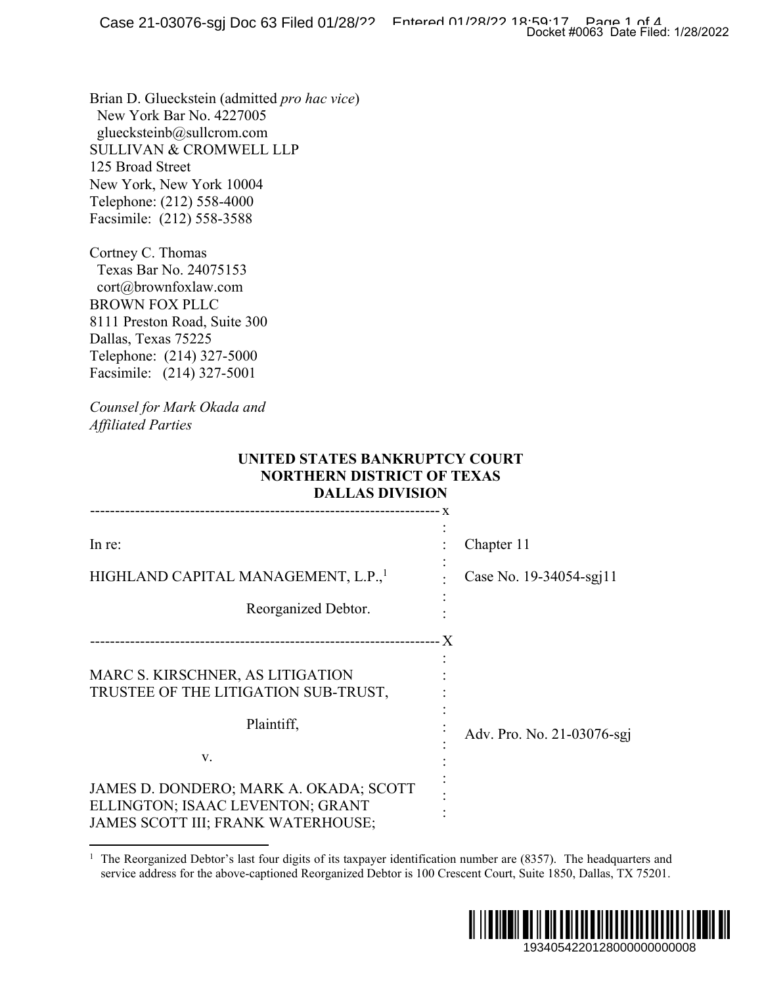## **UNITED STATES BANKRUPTCY COURT NORTHERN DISTRICT OF TEXAS DALLAS DIVISION**

|                                                                                                                                                                                                                                                       | Docket #0063 Date Filed: 1/28/2022    |
|-------------------------------------------------------------------------------------------------------------------------------------------------------------------------------------------------------------------------------------------------------|---------------------------------------|
| Brian D. Glueckstein (admitted pro hac vice)<br>New York Bar No. 4227005<br>gluecksteinb@sullcrom.com<br><b>SULLIVAN &amp; CROMWELL LLP</b><br>125 Broad Street<br>New York, New York 10004<br>Telephone: (212) 558-4000<br>Facsimile: (212) 558-3588 |                                       |
| Cortney C. Thomas<br>Texas Bar No. 24075153<br>cort@brownfoxlaw.com<br><b>BROWN FOX PLLC</b><br>8111 Preston Road, Suite 300<br>Dallas, Texas 75225<br>Telephone: (214) 327-5000<br>Facsimile: (214) 327-5001<br>Counsel for Mark Okada and           |                                       |
| <b>Affiliated Parties</b>                                                                                                                                                                                                                             |                                       |
| UNITED STATES BANKRUPTCY COURT<br><b>NORTHERN DISTRICT OF TEXAS</b><br><b>DALLAS DIVISION</b>                                                                                                                                                         |                                       |
|                                                                                                                                                                                                                                                       |                                       |
| In re:<br>HIGHLAND CAPITAL MANAGEMENT, L.P., <sup>1</sup>                                                                                                                                                                                             | Chapter 11<br>Case No. 19-34054-sgj11 |
| Reorganized Debtor.                                                                                                                                                                                                                                   |                                       |
| MARC S. KIRSCHNER, AS LITIGATION<br>TRUSTEE OF THE LITIGATION SUB-TRUST,                                                                                                                                                                              |                                       |
| Plaintiff,                                                                                                                                                                                                                                            | Adv. Pro. No. 21-03076-sgj            |
| v.                                                                                                                                                                                                                                                    |                                       |
| JAMES D. DONDERO; MARK A. OKADA; SCOTT<br>ELLINGTON; ISAAC LEVENTON; GRANT<br>JAMES SCOTT III; FRANK WATERHOUSE;                                                                                                                                      |                                       |
| <sup>1</sup> The Reorganized Debtor's last four digits of its taxpayer identification number are $(8357)$ . The headquarters and<br>service address for the above-captioned Reorganized Debtor is 100 Crescent Court, Suite 1850, Dallas, TX 75201.   |                                       |
|                                                                                                                                                                                                                                                       |                                       |
|                                                                                                                                                                                                                                                       |                                       |
|                                                                                                                                                                                                                                                       | 1934054220128000000000008             |

<sup>&</sup>lt;sup>1</sup> The Reorganized Debtor's last four digits of its taxpayer identification number are (8357). The headquarters and service address for the above-captioned Reorganized Debtor is 100 Crescent Court, Suite 1850, Dallas, TX 75201.

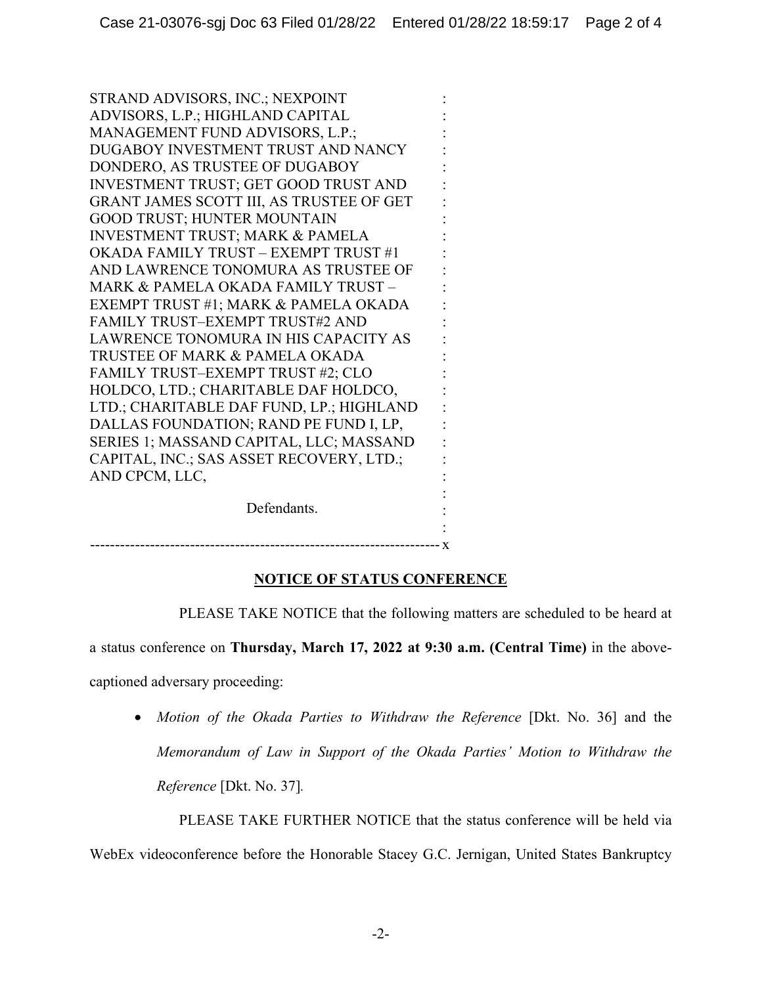STRAND ADVISORS, INC.; NEXPOINT ADVISORS, L.P.; HIGHLAND CAPITAL MANAGEMENT FUND ADVISORS, L.P.; DUGABOY INVESTMENT TRUST AND NANCY DONDERO, AS TRUSTEE OF DUGABOY INVESTMENT TRUST; GET GOOD TRUST AND GRANT JAMES SCOTT III, AS TRUSTEE OF GET GOOD TRUST; HUNTER MOUNTAIN INVESTMENT TRUST; MARK & PAMELA OKADA FAMILY TRUST – EXEMPT TRUST #1 AND LAWRENCE TONOMURA AS TRUSTEE OF MARK & PAMELA OKADA FAMILY TRUST – EXEMPT TRUST #1; MARK & PAMELA OKADA FAMILY TRUST–EXEMPT TRUST#2 AND LAWRENCE TONOMURA IN HIS CAPACITY AS TRUSTEE OF MARK & PAMELA OKADA FAMILY TRUST–EXEMPT TRUST #2; CLO HOLDCO, LTD.; CHARITABLE DAF HOLDCO, LTD.; CHARITABLE DAF FUND, LP.; HIGHLAND DALLAS FOUNDATION; RAND PE FUND I, LP, SERIES 1; MASSAND CAPITAL, LLC; MASSAND CAPITAL, INC.; SAS ASSET RECOVERY, LTD.; AND CPCM, LLC, Defendants. : : : : : : : : : : : : : : : : : : : : : : : : :

: ---------------------------------------------------------------------- x

## **NOTICE OF STATUS CONFERENCE**

a status conference on **Thursday, March 17, 2022 at 9:30 a.m. (Central Time)** in the abovecaptioned adversary proceeding:

• *Motion of the Okada Parties to Withdraw the Reference* [Dkt. No. 36] and the *Memorandum of Law in Support of the Okada Parties' Motion to Withdraw the Reference* [Dkt. No. 37]*.* 

PLEASE TAKE NOTICE that the following matters are scheduled to be heard at

PLEASE TAKE FURTHER NOTICE that the status conference will be held via WebEx videoconference before the Honorable Stacey G.C. Jernigan, United States Bankruptcy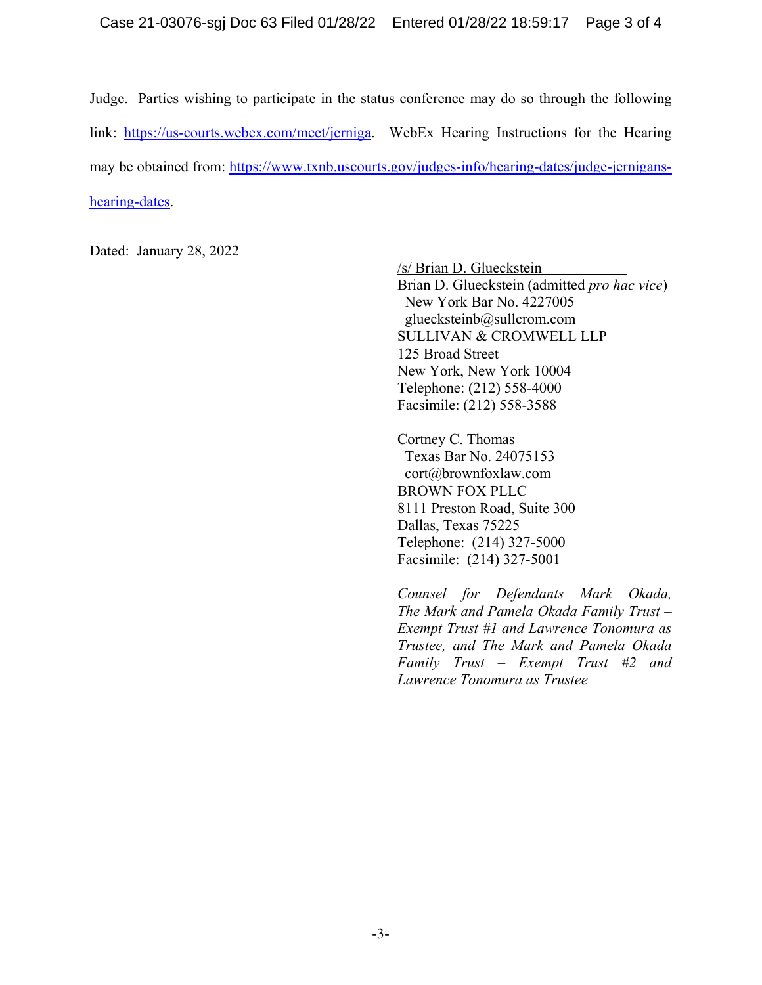Judge. Parties wishing to participate in the status conference may do so through the following link: https://us-courts.webex.com/meet/jerniga. WebEx Hearing Instructions for the Hearing may be obtained from: https://www.txnb.uscourts.gov/judges-info/hearing-dates/judge-jerniganshearing-dates.

Dated: January 28, 2022

/s/ Brian D. Glueckstein

Brian D. Glueckstein (admitted *pro hac vice*) New York Bar No. 4227005 gluecksteinb@sullcrom.com SULLIVAN & CROMWELL LLP 125 Broad Street New York, New York 10004 Telephone: (212) 558-4000 Facsimile: (212) 558-3588

Cortney C. Thomas Texas Bar No. 24075153 cort@brownfoxlaw.com BROWN FOX PLLC 8111 Preston Road, Suite 300 Dallas, Texas 75225 Telephone: (214) 327-5000 Facsimile: (214) 327-5001

*Counsel for Defendants Mark Okada, The Mark and Pamela Okada Family Trust – Exempt Trust #1 and Lawrence Tonomura as Trustee, and The Mark and Pamela Okada Family Trust – Exempt Trust #2 and Lawrence Tonomura as Trustee*